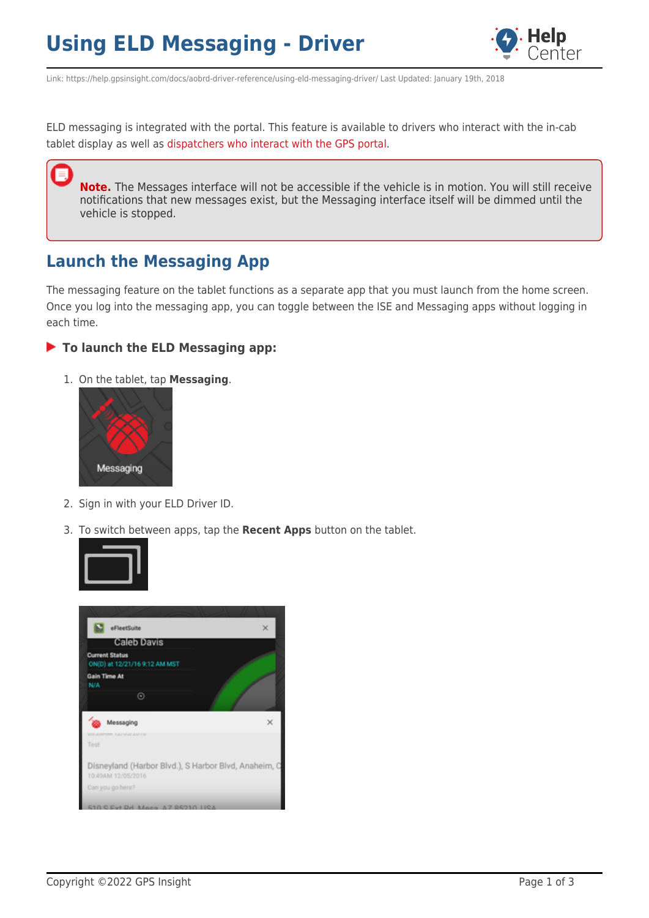## **Using ELD Messaging - Driver**



Link: https://help.gpsinsight.com/docs/aobrd-driver-reference/using-eld-messaging-driver/ Last Updated: January 19th, 2018

ELD messaging is integrated with the portal. This feature is available to drivers who interact with the in-cab tablet display as well as [dispatchers who interact with the GPS portal.](https://help.gpsinsight.com/docs/about-hours-of-service/administrator-reference/using-eld-messaging-dispatcher/)

**Note.** The Messages interface will not be accessible if the vehicle is in motion. You will still receive notifications that new messages exist, but the Messaging interface itself will be dimmed until the vehicle is stopped.

## **Launch the Messaging App**

The messaging feature on the tablet functions as a separate app that you must launch from the home screen. Once you log into the messaging app, you can toggle between the ISE and Messaging apps without logging in each time.

#### **To launch the ELD Messaging app:**

1. On the tablet, tap **Messaging**.



- 2. Sign in with your ELD Driver ID.
- 3. To switch between apps, tap the **Recent Apps** button on the tablet.



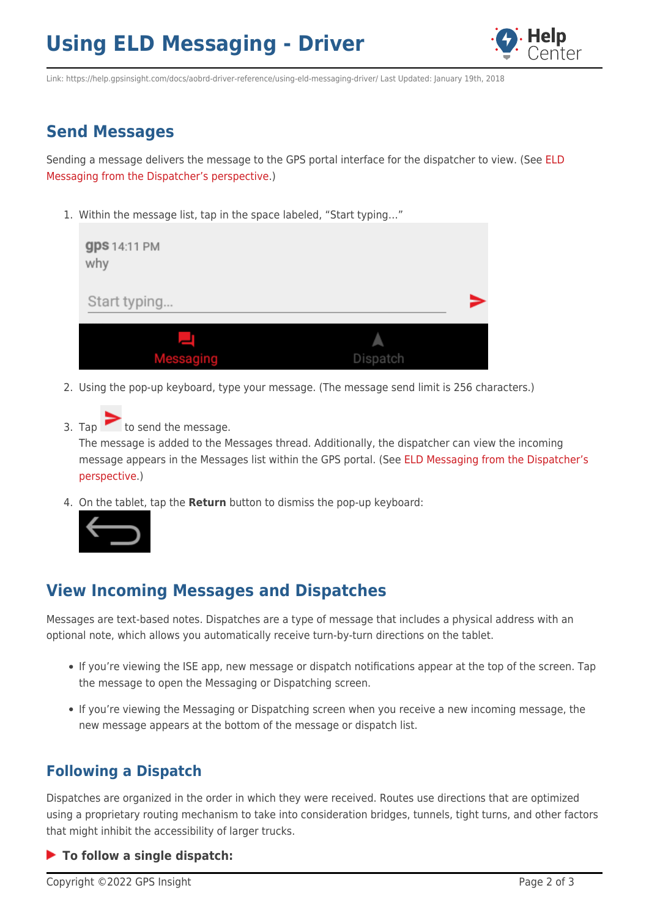# **Using ELD Messaging - Driver**



Link: https://help.gpsinsight.com/docs/aobrd-driver-reference/using-eld-messaging-driver/ Last Updated: January 19th, 2018

### **Send Messages**

Sending a message delivers the message to the GPS portal interface for the dispatcher to view. (See [ELD](https://help.gpsinsight.com/docs/about-hours-of-service/administrator-reference/using-eld-messaging-dispatcher/) [Messaging from the Dispatcher's perspective.](https://help.gpsinsight.com/docs/about-hours-of-service/administrator-reference/using-eld-messaging-dispatcher/))

1. Within the message list, tap in the space labeled, "Start typing…"

| <b>gps</b> 14:11 PM<br>why |          |  |
|----------------------------|----------|--|
| Start typing               |          |  |
|                            |          |  |
| Messaging                  | Dispatch |  |

- 2. Using the pop-up keyboard, type your message. (The message send limit is 256 characters.)
- 3. Tap  $\sim$  to send the message.

The message is added to the Messages thread. Additionally, the dispatcher can view the incoming message appears in the Messages list within the GPS portal. (See [ELD Messaging from the Dispatcher's](https://help.gpsinsight.com/docs/about-hours-of-service/administrator-reference/using-eld-messaging-dispatcher/) [perspective](https://help.gpsinsight.com/docs/about-hours-of-service/administrator-reference/using-eld-messaging-dispatcher/).)

4. On the tablet, tap the **Return** button to dismiss the pop-up keyboard:



### **View Incoming Messages and Dispatches**

Messages are text-based notes. Dispatches are a type of message that includes a physical address with an optional note, which allows you automatically receive turn-by-turn directions on the tablet.

- If you're viewing the ISE app, new message or dispatch notifications appear at the top of the screen. Tap the message to open the Messaging or Dispatching screen.
- If you're viewing the Messaging or Dispatching screen when you receive a new incoming message, the new message appears at the bottom of the message or dispatch list.

### **Following a Dispatch**

Dispatches are organized in the order in which they were received. Routes use directions that are optimized using a proprietary routing mechanism to take into consideration bridges, tunnels, tight turns, and other factors that might inhibit the accessibility of larger trucks.

#### **To follow a single dispatch:**